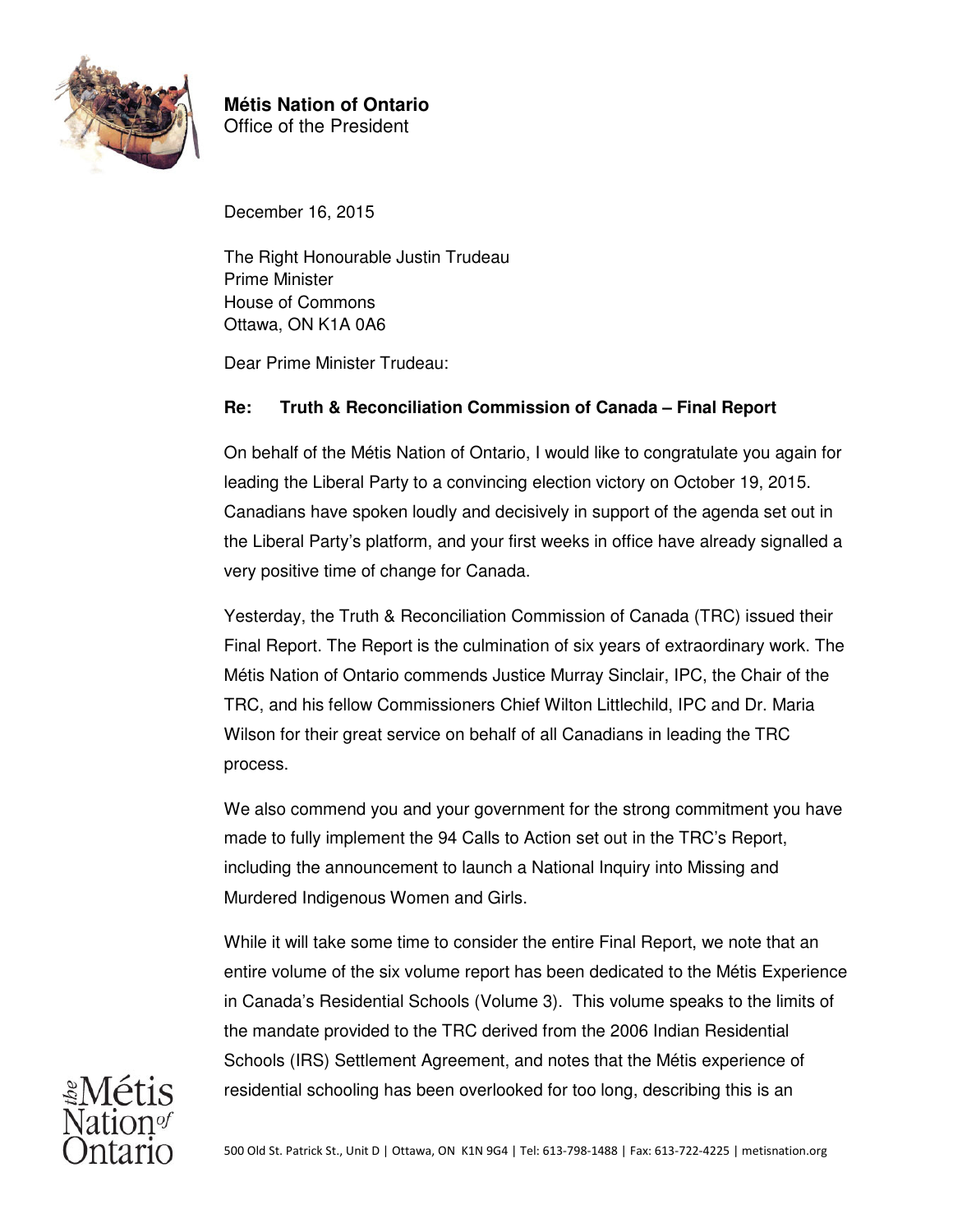

**Métis Nation of Ontario** Office of the President

December 16, 2015

The Right Honourable Justin Trudeau Prime Minister House of Commons Ottawa, ON K1A 0A6

Dear Prime Minister Trudeau:

## **Re: Truth & Reconciliation Commission of Canada – Final Report**

On behalf of the Métis Nation of Ontario, I would like to congratulate you again for leading the Liberal Party to a convincing election victory on October 19, 2015. Canadians have spoken loudly and decisively in support of the agenda set out in the Liberal Party's platform, and your first weeks in office have already signalled a very positive time of change for Canada.

Yesterday, the Truth & Reconciliation Commission of Canada (TRC) issued their Final Report. The Report is the culmination of six years of extraordinary work. The Métis Nation of Ontario commends Justice Murray Sinclair, IPC, the Chair of the TRC, and his fellow Commissioners Chief Wilton Littlechild, IPC and Dr. Maria Wilson for their great service on behalf of all Canadians in leading the TRC process.

We also commend you and your government for the strong commitment you have made to fully implement the 94 Calls to Action set out in the TRC's Report, including the announcement to launch a National Inquiry into Missing and Murdered Indigenous Women and Girls.

While it will take some time to consider the entire Final Report, we note that an entire volume of the six volume report has been dedicated to the Métis Experience in Canada's Residential Schools (Volume 3). This volume speaks to the limits of the mandate provided to the TRC derived from the 2006 Indian Residential Schools (IRS) Settlement Agreement, and notes that the Métis experience of residential schooling has been overlooked for too long, describing this is an

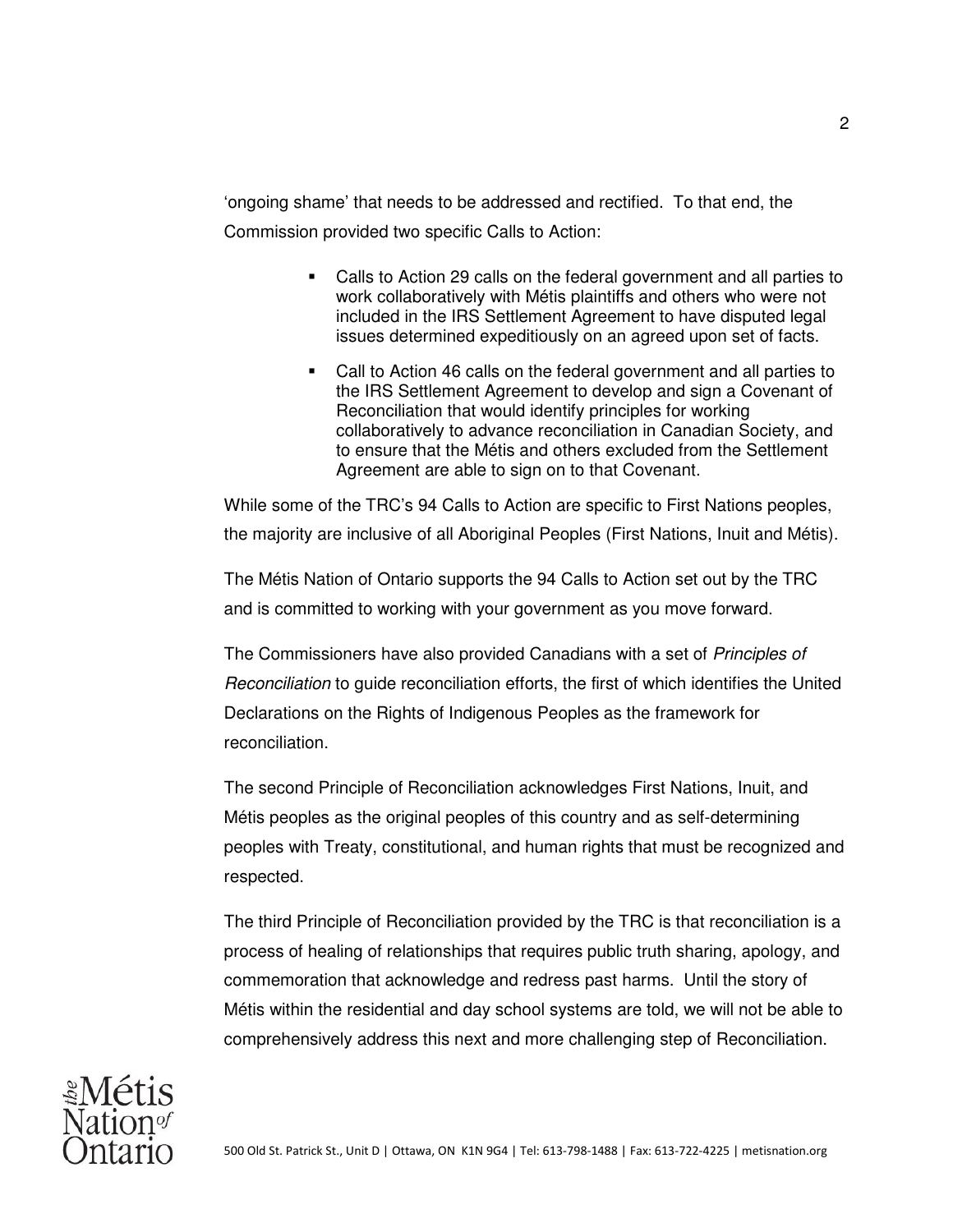'ongoing shame' that needs to be addressed and rectified. To that end, the Commission provided two specific Calls to Action:

- Calls to Action 29 calls on the federal government and all parties to work collaboratively with Métis plaintiffs and others who were not included in the IRS Settlement Agreement to have disputed legal issues determined expeditiously on an agreed upon set of facts.
- Call to Action 46 calls on the federal government and all parties to the IRS Settlement Agreement to develop and sign a Covenant of Reconciliation that would identify principles for working collaboratively to advance reconciliation in Canadian Society, and to ensure that the Métis and others excluded from the Settlement Agreement are able to sign on to that Covenant.

While some of the TRC's 94 Calls to Action are specific to First Nations peoples, the majority are inclusive of all Aboriginal Peoples (First Nations, Inuit and Métis).

The Métis Nation of Ontario supports the 94 Calls to Action set out by the TRC and is committed to working with your government as you move forward.

The Commissioners have also provided Canadians with a set of Principles of Reconciliation to guide reconciliation efforts, the first of which identifies the United Declarations on the Rights of Indigenous Peoples as the framework for reconciliation.

The second Principle of Reconciliation acknowledges First Nations, Inuit, and Métis peoples as the original peoples of this country and as self-determining peoples with Treaty, constitutional, and human rights that must be recognized and respected.

The third Principle of Reconciliation provided by the TRC is that reconciliation is a process of healing of relationships that requires public truth sharing, apology, and commemoration that acknowledge and redress past harms. Until the story of Métis within the residential and day school systems are told, we will not be able to comprehensively address this next and more challenging step of Reconciliation.

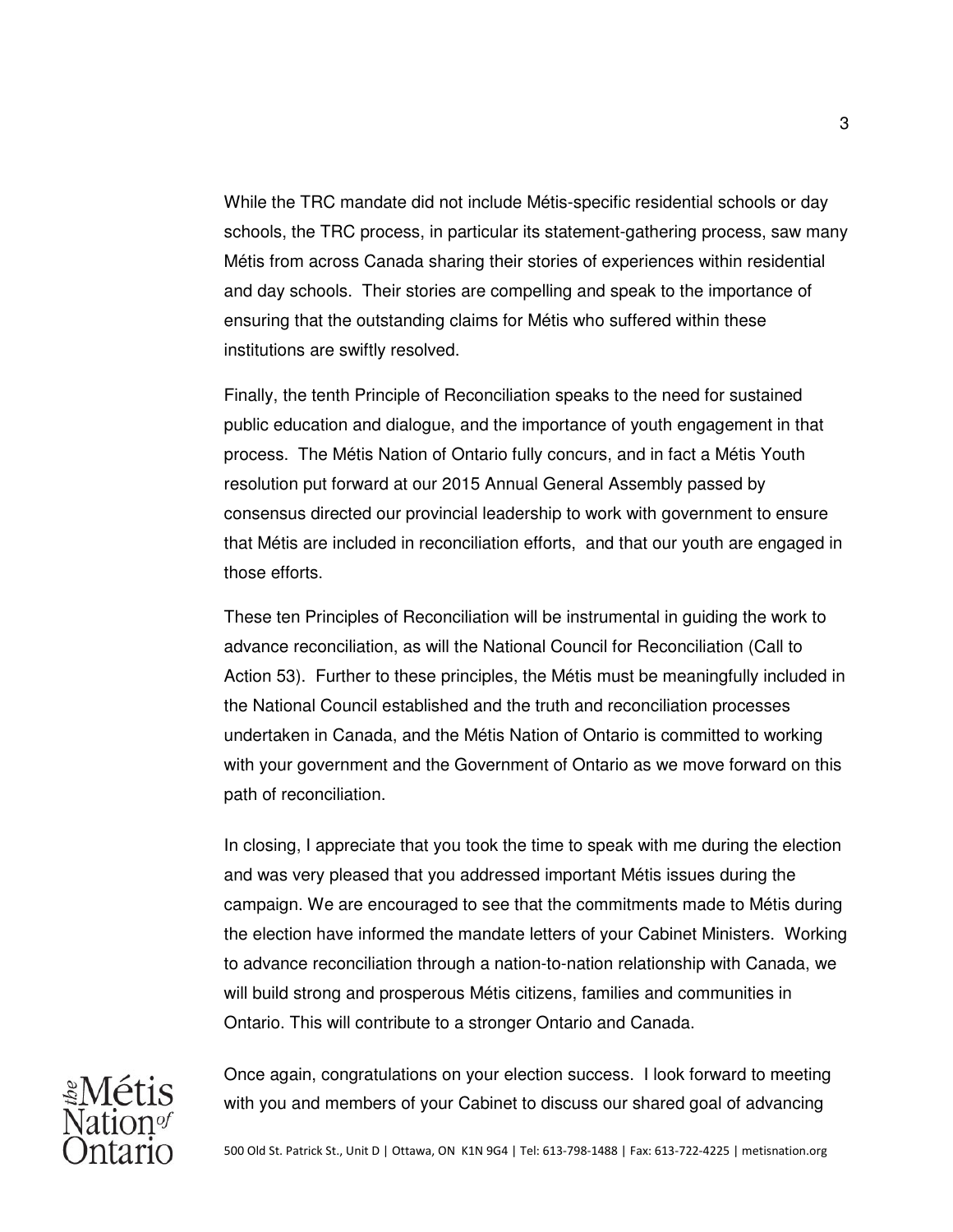While the TRC mandate did not include Métis-specific residential schools or day schools, the TRC process, in particular its statement-gathering process, saw many Métis from across Canada sharing their stories of experiences within residential and day schools. Their stories are compelling and speak to the importance of ensuring that the outstanding claims for Métis who suffered within these institutions are swiftly resolved.

Finally, the tenth Principle of Reconciliation speaks to the need for sustained public education and dialogue, and the importance of youth engagement in that process. The Métis Nation of Ontario fully concurs, and in fact a Métis Youth resolution put forward at our 2015 Annual General Assembly passed by consensus directed our provincial leadership to work with government to ensure that Métis are included in reconciliation efforts, and that our youth are engaged in those efforts.

These ten Principles of Reconciliation will be instrumental in guiding the work to advance reconciliation, as will the National Council for Reconciliation (Call to Action 53). Further to these principles, the Métis must be meaningfully included in the National Council established and the truth and reconciliation processes undertaken in Canada, and the Métis Nation of Ontario is committed to working with your government and the Government of Ontario as we move forward on this path of reconciliation.

In closing, I appreciate that you took the time to speak with me during the election and was very pleased that you addressed important Métis issues during the campaign. We are encouraged to see that the commitments made to Métis during the election have informed the mandate letters of your Cabinet Ministers. Working to advance reconciliation through a nation-to-nation relationship with Canada, we will build strong and prosperous Métis citizens, families and communities in Ontario. This will contribute to a stronger Ontario and Canada.



Once again, congratulations on your election success. I look forward to meeting with you and members of your Cabinet to discuss our shared goal of advancing